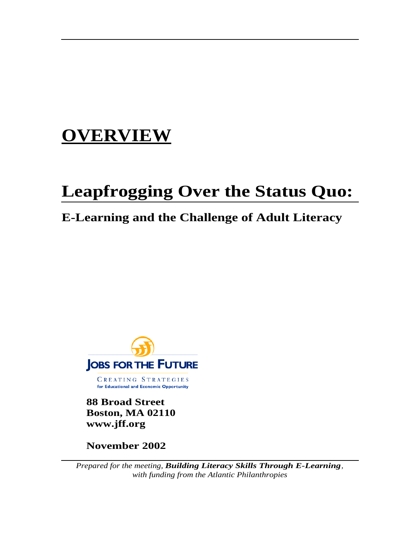# **OVERVIEW**

# **Leapfrogging Over the Status Quo:**

# **E-Learning and the Challenge of Adult Literacy**



**88 Broad Street Boston, MA 02110 www.jff.org**

**November 2002**

*Prepared for the meeting, Building Literacy Skills Through E-Learning, with funding from the Atlantic Philanthropies*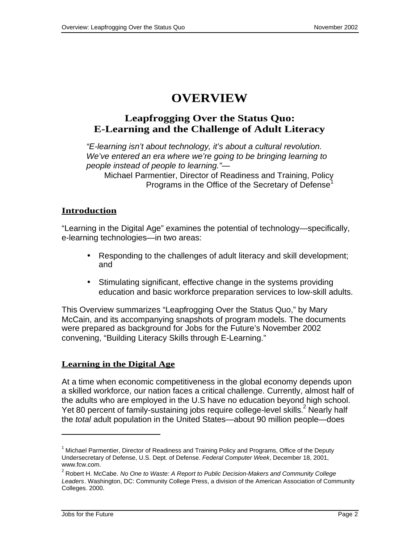# **OVERVIEW**

# **Leapfrogging Over the Status Quo: E-Learning and the Challenge of Adult Literacy**

"E-learning isn't about technology, it's about a cultural revolution. We've entered an era where we're going to be bringing learning to people instead of people to learning."—

Michael Parmentier, Director of Readiness and Training, Policy Programs in the Office of the Secretary of Defense<sup>1</sup>

# **Introduction**

"Learning in the Digital Age" examines the potential of technology—specifically, e-learning technologies—in two areas:

- Responding to the challenges of adult literacy and skill development; and
- Stimulating significant, effective change in the systems providing education and basic workforce preparation services to low-skill adults.

This Overview summarizes "Leapfrogging Over the Status Quo," by Mary McCain, and its accompanying snapshots of program models. The documents were prepared as background for Jobs for the Future's November 2002 convening, "Building Literacy Skills through E-Learning."

## **Learning in the Digital Age**

At a time when economic competitiveness in the global economy depends upon a skilled workforce, our nation faces a critical challenge. Currently, almost half of the adults who are employed in the U.S have no education beyond high school. Yet 80 percent of family-sustaining jobs require college-level skills.<sup>2</sup> Nearly half the total adult population in the United States—about 90 million people—does

j

 $1$  Michael Parmentier, Director of Readiness and Training Policy and Programs, Office of the Deputy Undersecretary of Defense, U.S. Dept. of Defense. Federal Computer Week, December 18, 2001, www.fcw.com.

 $^{2}$  Robert H. McCabe. No One to Waste: A Report to Public Decision-Makers and Community College Leaders. Washington, DC: Community College Press, a division of the American Association of Community Colleges. 2000.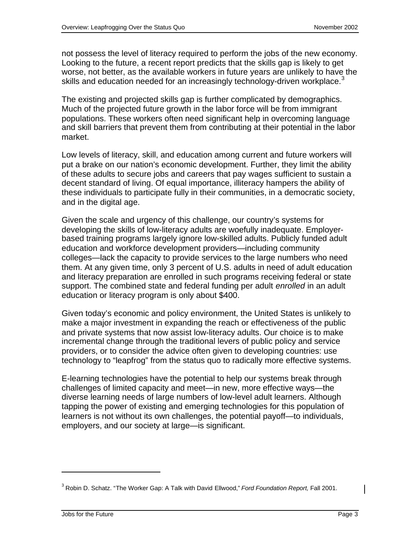not possess the level of literacy required to perform the jobs of the new economy. Looking to the future, a recent report predicts that the skills gap is likely to get worse, not better, as the available workers in future years are unlikely to have the skills and education needed for an increasingly technology-driven workplace.<sup>3</sup>

The existing and projected skills gap is further complicated by demographics. Much of the projected future growth in the labor force will be from immigrant populations. These workers often need significant help in overcoming language and skill barriers that prevent them from contributing at their potential in the labor market.

Low levels of literacy, skill, and education among current and future workers will put a brake on our nation's economic development. Further, they limit the ability of these adults to secure jobs and careers that pay wages sufficient to sustain a decent standard of living. Of equal importance, illiteracy hampers the ability of these individuals to participate fully in their communities, in a democratic society, and in the digital age.

Given the scale and urgency of this challenge, our country's systems for developing the skills of low-literacy adults are woefully inadequate. Employerbased training programs largely ignore low-skilled adults. Publicly funded adult education and workforce development providers—including community colleges—lack the capacity to provide services to the large numbers who need them. At any given time, only 3 percent of U.S. adults in need of adult education and literacy preparation are enrolled in such programs receiving federal or state support. The combined state and federal funding per adult enrolled in an adult education or literacy program is only about \$400.

Given today's economic and policy environment, the United States is unlikely to make a major investment in expanding the reach or effectiveness of the public and private systems that now assist low-literacy adults. Our choice is to make incremental change through the traditional levers of public policy and service providers, or to consider the advice often given to developing countries: use technology to "leapfrog" from the status quo to radically more effective systems.

E-learning technologies have the potential to help our systems break through challenges of limited capacity and meet—in new, more effective ways—the diverse learning needs of large numbers of low-level adult learners. Although tapping the power of existing and emerging technologies for this population of learners is not without its own challenges, the potential payoff—to individuals, employers, and our society at large—is significant.

j

 $^3$  Robin D. Schatz. "The Worker Gap: A Talk with David Ellwood," Ford Foundation Report, Fall 2001.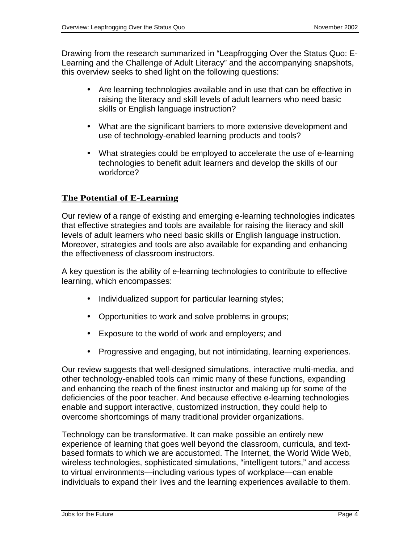Drawing from the research summarized in "Leapfrogging Over the Status Quo: E-Learning and the Challenge of Adult Literacy" and the accompanying snapshots, this overview seeks to shed light on the following questions:

- Are learning technologies available and in use that can be effective in raising the literacy and skill levels of adult learners who need basic skills or English language instruction?
- What are the significant barriers to more extensive development and use of technology-enabled learning products and tools?
- What strategies could be employed to accelerate the use of e-learning technologies to benefit adult learners and develop the skills of our workforce?

#### **The Potential of E-Learning**

Our review of a range of existing and emerging e-learning technologies indicates that effective strategies and tools are available for raising the literacy and skill levels of adult learners who need basic skills or English language instruction. Moreover, strategies and tools are also available for expanding and enhancing the effectiveness of classroom instructors.

A key question is the ability of e-learning technologies to contribute to effective learning, which encompasses:

- Individualized support for particular learning styles;
- Opportunities to work and solve problems in groups;
- Exposure to the world of work and employers; and
- Progressive and engaging, but not intimidating, learning experiences.

Our review suggests that well-designed simulations, interactive multi-media, and other technology-enabled tools can mimic many of these functions, expanding and enhancing the reach of the finest instructor and making up for some of the deficiencies of the poor teacher. And because effective e-learning technologies enable and support interactive, customized instruction, they could help to overcome shortcomings of many traditional provider organizations.

Technology can be transformative. It can make possible an entirely new experience of learning that goes well beyond the classroom, curricula, and textbased formats to which we are accustomed. The Internet, the World Wide Web, wireless technologies, sophisticated simulations, "intelligent tutors," and access to virtual environments—including various types of workplace—can enable individuals to expand their lives and the learning experiences available to them.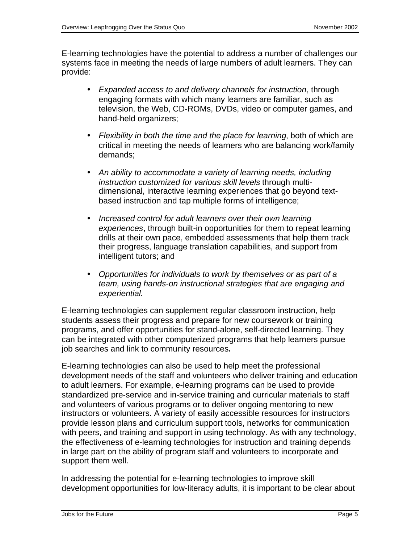E-learning technologies have the potential to address a number of challenges our systems face in meeting the needs of large numbers of adult learners. They can provide:

- Expanded access to and delivery channels for instruction, through engaging formats with which many learners are familiar, such as television, the Web, CD-ROMs, DVDs, video or computer games, and hand-held organizers;
- Flexibility in both the time and the place for learning, both of which are critical in meeting the needs of learners who are balancing work/family demands;
- An ability to accommodate a variety of learning needs, including instruction customized for various skill levels through multidimensional, interactive learning experiences that go beyond textbased instruction and tap multiple forms of intelligence;
- Increased control for adult learners over their own learning experiences, through built-in opportunities for them to repeat learning drills at their own pace, embedded assessments that help them track their progress, language translation capabilities, and support from intelligent tutors; and
- Opportunities for individuals to work by themselves or as part of a team, using hands-on instructional strategies that are engaging and experiential.

E-learning technologies can supplement regular classroom instruction, help students assess their progress and prepare for new coursework or training programs, and offer opportunities for stand-alone, self-directed learning. They can be integrated with other computerized programs that help learners pursue job searches and link to community resources**.**

E-learning technologies can also be used to help meet the professional development needs of the staff and volunteers who deliver training and education to adult learners. For example, e-learning programs can be used to provide standardized pre-service and in-service training and curricular materials to staff and volunteers of various programs or to deliver ongoing mentoring to new instructors or volunteers. A variety of easily accessible resources for instructors provide lesson plans and curriculum support tools, networks for communication with peers, and training and support in using technology. As with any technology, the effectiveness of e-learning technologies for instruction and training depends in large part on the ability of program staff and volunteers to incorporate and support them well.

In addressing the potential for e-learning technologies to improve skill development opportunities for low-literacy adults, it is important to be clear about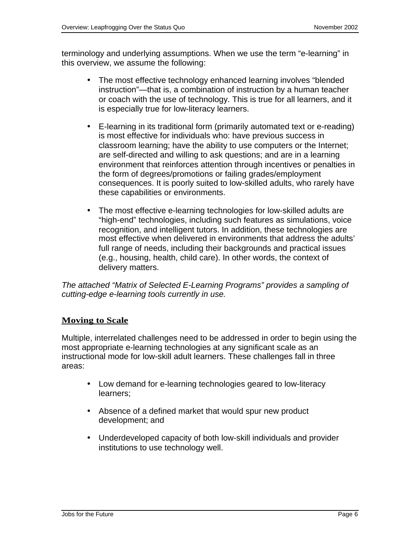terminology and underlying assumptions. When we use the term "e-learning" in this overview, we assume the following:

- The most effective technology enhanced learning involves "blended" instruction"—that is, a combination of instruction by a human teacher or coach with the use of technology. This is true for all learners, and it is especially true for low-literacy learners.
- E-learning in its traditional form (primarily automated text or e-reading) is most effective for individuals who: have previous success in classroom learning; have the ability to use computers or the Internet; are self-directed and willing to ask questions; and are in a learning environment that reinforces attention through incentives or penalties in the form of degrees/promotions or failing grades/employment consequences. It is poorly suited to low-skilled adults, who rarely have these capabilities or environments.
- The most effective e-learning technologies for low-skilled adults are "high-end" technologies, including such features as simulations, voice recognition, and intelligent tutors. In addition, these technologies are most effective when delivered in environments that address the adults' full range of needs, including their backgrounds and practical issues (e.g., housing, health, child care). In other words, the context of delivery matters.

The attached "Matrix of Selected E-Learning Programs" provides a sampling of cutting-edge e-learning tools currently in use.

## **Moving to Scale**

Multiple, interrelated challenges need to be addressed in order to begin using the most appropriate e-learning technologies at any significant scale as an instructional mode for low-skill adult learners. These challenges fall in three areas:

- Low demand for e-learning technologies geared to low-literacy learners;
- Absence of a defined market that would spur new product development; and
- Underdeveloped capacity of both low-skill individuals and provider institutions to use technology well.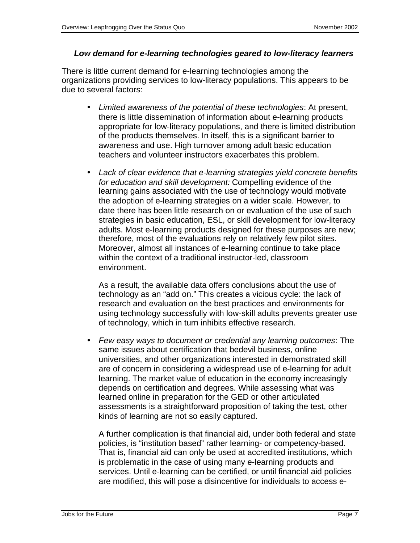#### **Low demand for e-learning technologies geared to low-literacy learners**

There is little current demand for e-learning technologies among the organizations providing services to low-literacy populations. This appears to be due to several factors:

- Limited awareness of the potential of these technologies: At present, there is little dissemination of information about e-learning products appropriate for low-literacy populations, and there is limited distribution of the products themselves. In itself, this is a significant barrier to awareness and use. High turnover among adult basic education teachers and volunteer instructors exacerbates this problem.
- Lack of clear evidence that e-learning strategies yield concrete benefits for education and skill development: Compelling evidence of the learning gains associated with the use of technology would motivate the adoption of e-learning strategies on a wider scale. However, to date there has been little research on or evaluation of the use of such strategies in basic education, ESL, or skill development for low-literacy adults. Most e-learning products designed for these purposes are new; therefore, most of the evaluations rely on relatively few pilot sites. Moreover, almost all instances of e-learning continue to take place within the context of a traditional instructor-led, classroom environment.

As a result, the available data offers conclusions about the use of technology as an "add on." This creates a vicious cycle: the lack of research and evaluation on the best practices and environments for using technology successfully with low-skill adults prevents greater use of technology, which in turn inhibits effective research.

• Few easy ways to document or credential any learning outcomes: The same issues about certification that bedevil business, online universities, and other organizations interested in demonstrated skill are of concern in considering a widespread use of e-learning for adult learning. The market value of education in the economy increasingly depends on certification and degrees. While assessing what was learned online in preparation for the GED or other articulated assessments is a straightforward proposition of taking the test, other kinds of learning are not so easily captured.

A further complication is that financial aid, under both federal and state policies, is "institution based" rather learning- or competency-based. That is, financial aid can only be used at accredited institutions, which is problematic in the case of using many e-learning products and services. Until e-learning can be certified, or until financial aid policies are modified, this will pose a disincentive for individuals to access e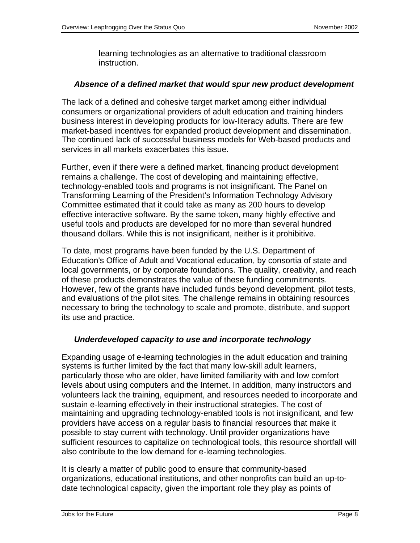learning technologies as an alternative to traditional classroom instruction.

#### **Absence of a defined market that would spur new product development**

The lack of a defined and cohesive target market among either individual consumers or organizational providers of adult education and training hinders business interest in developing products for low-literacy adults. There are few market-based incentives for expanded product development and dissemination. The continued lack of successful business models for Web-based products and services in all markets exacerbates this issue.

Further, even if there were a defined market, financing product development remains a challenge. The cost of developing and maintaining effective, technology-enabled tools and programs is not insignificant. The Panel on Transforming Learning of the President's Information Technology Advisory Committee estimated that it could take as many as 200 hours to develop effective interactive software. By the same token, many highly effective and useful tools and products are developed for no more than several hundred thousand dollars. While this is not insignificant, neither is it prohibitive.

To date, most programs have been funded by the U.S. Department of Education's Office of Adult and Vocational education, by consortia of state and local governments, or by corporate foundations. The quality, creativity, and reach of these products demonstrates the value of these funding commitments. However, few of the grants have included funds beyond development, pilot tests, and evaluations of the pilot sites. The challenge remains in obtaining resources necessary to bring the technology to scale and promote, distribute, and support its use and practice.

#### **Underdeveloped capacity to use and incorporate technology**

Expanding usage of e-learning technologies in the adult education and training systems is further limited by the fact that many low-skill adult learners, particularly those who are older, have limited familiarity with and low comfort levels about using computers and the Internet. In addition, many instructors and volunteers lack the training, equipment, and resources needed to incorporate and sustain e-learning effectively in their instructional strategies. The cost of maintaining and upgrading technology-enabled tools is not insignificant, and few providers have access on a regular basis to financial resources that make it possible to stay current with technology. Until provider organizations have sufficient resources to capitalize on technological tools, this resource shortfall will also contribute to the low demand for e-learning technologies.

It is clearly a matter of public good to ensure that community-based organizations, educational institutions, and other nonprofits can build an up-todate technological capacity, given the important role they play as points of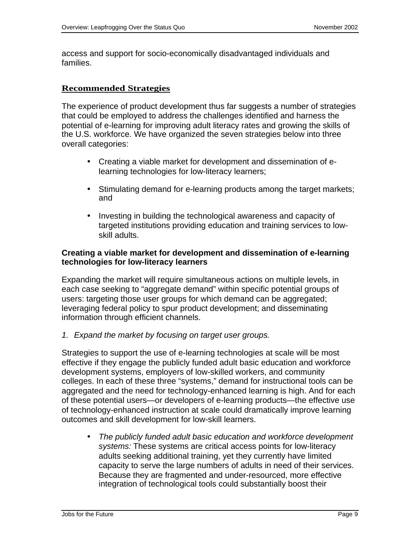access and support for socio-economically disadvantaged individuals and families.

#### **Recommended Strategies**

The experience of product development thus far suggests a number of strategies that could be employed to address the challenges identified and harness the potential of e-learning for improving adult literacy rates and growing the skills of the U.S. workforce. We have organized the seven strategies below into three overall categories:

- Creating a viable market for development and dissemination of elearning technologies for low-literacy learners;
- Stimulating demand for e-learning products among the target markets; and
- Investing in building the technological awareness and capacity of targeted institutions providing education and training services to lowskill adults.

#### **Creating a viable market for development and dissemination of e-learning technologies for low-literacy learners**

Expanding the market will require simultaneous actions on multiple levels, in each case seeking to "aggregate demand" within specific potential groups of users: targeting those user groups for which demand can be aggregated; leveraging federal policy to spur product development; and disseminating information through efficient channels.

1. Expand the market by focusing on target user groups.

Strategies to support the use of e-learning technologies at scale will be most effective if they engage the publicly funded adult basic education and workforce development systems, employers of low-skilled workers, and community colleges. In each of these three "systems," demand for instructional tools can be aggregated and the need for technology-enhanced learning is high. And for each of these potential users—or developers of e-learning products—the effective use of technology-enhanced instruction at scale could dramatically improve learning outcomes and skill development for low-skill learners.

• The publicly funded adult basic education and workforce development systems: These systems are critical access points for low-literacy adults seeking additional training, yet they currently have limited capacity to serve the large numbers of adults in need of their services. Because they are fragmented and under-resourced, more effective integration of technological tools could substantially boost their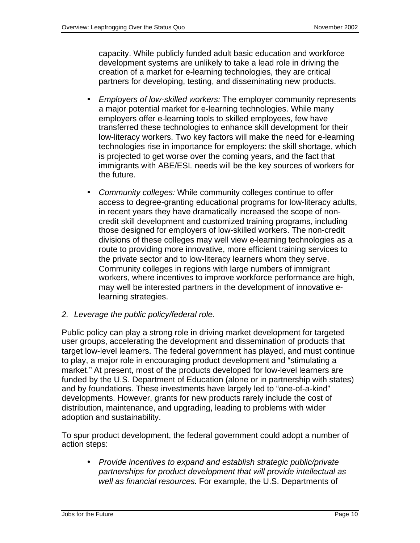capacity. While publicly funded adult basic education and workforce development systems are unlikely to take a lead role in driving the creation of a market for e-learning technologies, they are critical partners for developing, testing, and disseminating new products.

- Employers of low-skilled workers: The employer community represents a major potential market for e-learning technologies. While many employers offer e-learning tools to skilled employees, few have transferred these technologies to enhance skill development for their low-literacy workers. Two key factors will make the need for e-learning technologies rise in importance for employers: the skill shortage, which is projected to get worse over the coming years, and the fact that immigrants with ABE/ESL needs will be the key sources of workers for the future.
- Community colleges: While community colleges continue to offer access to degree-granting educational programs for low-literacy adults, in recent years they have dramatically increased the scope of noncredit skill development and customized training programs, including those designed for employers of low-skilled workers. The non-credit divisions of these colleges may well view e-learning technologies as a route to providing more innovative, more efficient training services to the private sector and to low-literacy learners whom they serve. Community colleges in regions with large numbers of immigrant workers, where incentives to improve workforce performance are high, may well be interested partners in the development of innovative elearning strategies.
- 2. Leverage the public policy/federal role.

Public policy can play a strong role in driving market development for targeted user groups, accelerating the development and dissemination of products that target low-level learners. The federal government has played, and must continue to play, a major role in encouraging product development and "stimulating a market." At present, most of the products developed for low-level learners are funded by the U.S. Department of Education (alone or in partnership with states) and by foundations. These investments have largely led to "one-of-a-kind" developments. However, grants for new products rarely include the cost of distribution, maintenance, and upgrading, leading to problems with wider adoption and sustainability.

To spur product development, the federal government could adopt a number of action steps:

• Provide incentives to expand and establish strategic public/private partnerships for product development that will provide intellectual as well as financial resources. For example, the U.S. Departments of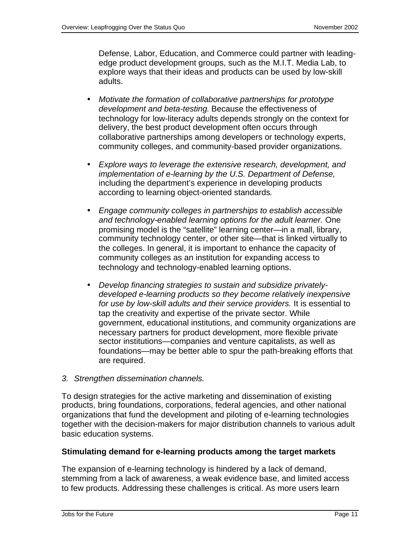Defense, Labor, Education, and Commerce could partner with leadingedge product development groups, such as the M.I.T. Media Lab, to explore ways that their ideas and products can be used by low-skill adults.

- Motivate the formation of collaborative partnerships for prototype development and beta-testing. Because the effectiveness of technology for low-literacy adults depends strongly on the context for delivery, the best product development often occurs through collaborative partnerships among developers or technology experts, community colleges, and community-based provider organizations.
- Explore ways to leverage the extensive research, development, and implementation of e-learning by the U.S. Department of Defense, including the department's experience in developing products according to learning object-oriented standards.
- Engage community colleges in partnerships to establish accessible and technology-enabled learning options for the adult learner. One promising model is the "satellite" learning center—in a mall, library, community technology center, or other site—that is linked virtually to the colleges. In general, it is important to enhance the capacity of community colleges as an institution for expanding access to technology and technology-enabled learning options.
- Develop financing strategies to sustain and subsidize privatelydeveloped e-learning products so they become relatively inexpensive for use by low-skill adults and their service providers. It is essential to tap the creativity and expertise of the private sector. While government, educational institutions, and community organizations are necessary partners for product development, more flexible private sector institutions—companies and venture capitalists, as well as foundations—may be better able to spur the path-breaking efforts that are required.
- 3. Strengthen dissemination channels.

To design strategies for the active marketing and dissemination of existing products, bring foundations, corporations, federal agencies, and other national organizations that fund the development and piloting of e-learning technologies together with the decision-makers for major distribution channels to various adult basic education systems.

## **Stimulating demand for e-learning products among the target markets**

The expansion of e-learning technology is hindered by a lack of demand, stemming from a lack of awareness, a weak evidence base, and limited access to few products. Addressing these challenges is critical. As more users learn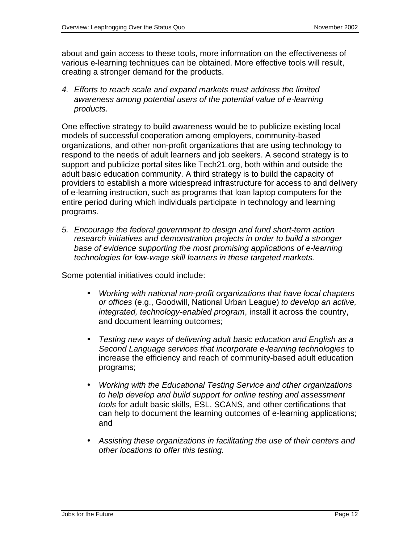about and gain access to these tools, more information on the effectiveness of various e-learning techniques can be obtained. More effective tools will result, creating a stronger demand for the products.

4. Efforts to reach scale and expand markets must address the limited awareness among potential users of the potential value of e-learning products.

One effective strategy to build awareness would be to publicize existing local models of successful cooperation among employers, community-based organizations, and other non-profit organizations that are using technology to respond to the needs of adult learners and job seekers. A second strategy is to support and publicize portal sites like Tech21.org, both within and outside the adult basic education community. A third strategy is to build the capacity of providers to establish a more widespread infrastructure for access to and delivery of e-learning instruction, such as programs that loan laptop computers for the entire period during which individuals participate in technology and learning programs.

5. Encourage the federal government to design and fund short-term action research initiatives and demonstration projects in order to build a stronger base of evidence supporting the most promising applications of e-learning technologies for low-wage skill learners in these targeted markets.

Some potential initiatives could include:

- Working with national non-profit organizations that have local chapters or offices (e.g., Goodwill, National Urban League) to develop an active, integrated, technology-enabled program, install it across the country, and document learning outcomes;
- Testing new ways of delivering adult basic education and English as a Second Language services that incorporate e-learning technologies to increase the efficiency and reach of community-based adult education programs;
- Working with the Educational Testing Service and other organizations to help develop and build support for online testing and assessment tools for adult basic skills, ESL, SCANS, and other certifications that can help to document the learning outcomes of e-learning applications; and
- Assisting these organizations in facilitating the use of their centers and other locations to offer this testing.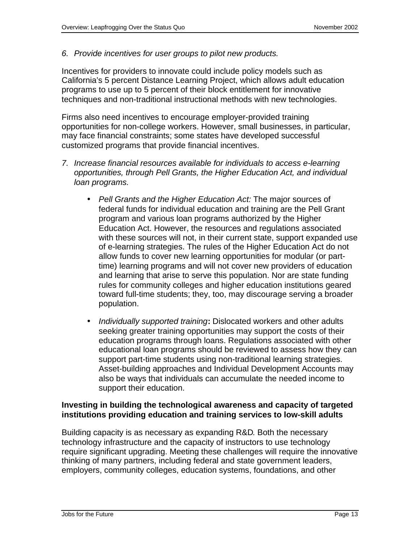6. Provide incentives for user groups to pilot new products.

Incentives for providers to innovate could include policy models such as California's 5 percent Distance Learning Project, which allows adult education programs to use up to 5 percent of their block entitlement for innovative techniques and non-traditional instructional methods with new technologies.

Firms also need incentives to encourage employer-provided training opportunities for non-college workers. However, small businesses, in particular, may face financial constraints; some states have developed successful customized programs that provide financial incentives.

- 7. Increase financial resources available for individuals to access e-learning opportunities, through Pell Grants, the Higher Education Act, and individual loan programs.
	- Pell Grants and the Higher Education Act: The major sources of federal funds for individual education and training are the Pell Grant program and various loan programs authorized by the Higher Education Act. However, the resources and regulations associated with these sources will not, in their current state, support expanded use of e-learning strategies. The rules of the Higher Education Act do not allow funds to cover new learning opportunities for modular (or parttime) learning programs and will not cover new providers of education and learning that arise to serve this population. Nor are state funding rules for community colleges and higher education institutions geared toward full-time students; they, too, may discourage serving a broader population.
	- Individually supported training**:** Dislocated workers and other adults seeking greater training opportunities may support the costs of their education programs through loans. Regulations associated with other educational loan programs should be reviewed to assess how they can support part-time students using non-traditional learning strategies. Asset-building approaches and Individual Development Accounts may also be ways that individuals can accumulate the needed income to support their education.

#### **Investing in building the technological awareness and capacity of targeted institutions providing education and training services to low-skill adults**

Building capacity is as necessary as expanding R&D. Both the necessary technology infrastructure and the capacity of instructors to use technology require significant upgrading. Meeting these challenges will require the innovative thinking of many partners, including federal and state government leaders, employers, community colleges, education systems, foundations, and other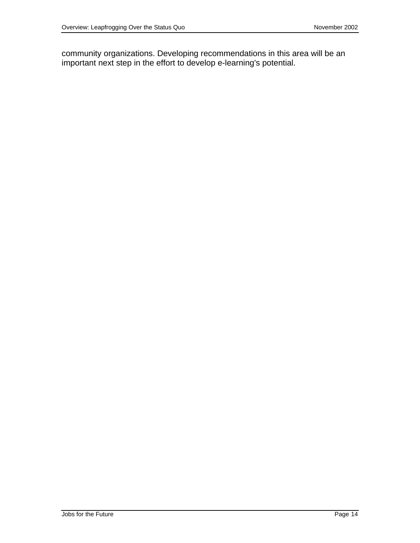community organizations. Developing recommendations in this area will be an important next step in the effort to develop e-learning's potential.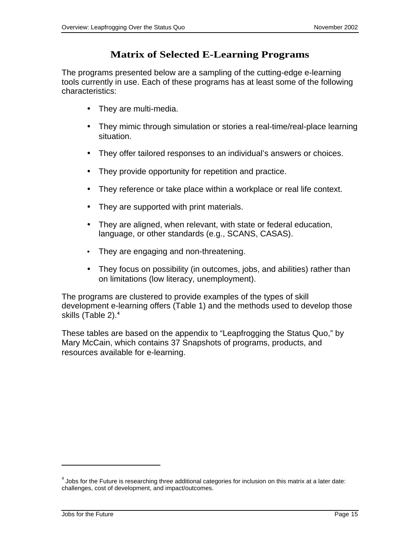# **Matrix of Selected E-Learning Programs**

The programs presented below are a sampling of the cutting-edge e-learning tools currently in use. Each of these programs has at least some of the following characteristics:

- They are multi-media.
- They mimic through simulation or stories a real-time/real-place learning situation.
- They offer tailored responses to an individual's answers or choices.
- They provide opportunity for repetition and practice.
- They reference or take place within a workplace or real life context.
- They are supported with print materials.
- They are aligned, when relevant, with state or federal education, language, or other standards (e.g., SCANS, CASAS).
- They are engaging and non-threatening.
- They focus on possibility (in outcomes, jobs, and abilities) rather than on limitations (low literacy, unemployment).

The programs are clustered to provide examples of the types of skill development e-learning offers (Table 1) and the methods used to develop those skills (Table 2).**<sup>4</sup>**

These tables are based on the appendix to "Leapfrogging the Status Quo," by Mary McCain, which contains 37 Snapshots of programs, products, and resources available for e-learning.

j

 $^4$  Jobs for the Future is researching three additional categories for inclusion on this matrix at a later date: challenges, cost of development, and impact/outcomes.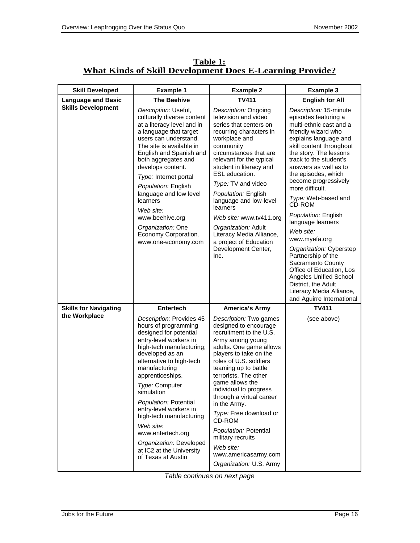| <b>Skill Developed</b>       | <b>Example 1</b>                                                                                                                                                                                                                                                                                                                                                                                                                                  | <b>Example 2</b>                                                                                                                                                                                                                                                                                                                                                                                                                                                          | <b>Example 3</b>                                                                                                                                                                                                                                                                                                                                                                                                                                                                                                                                                                                                            |
|------------------------------|---------------------------------------------------------------------------------------------------------------------------------------------------------------------------------------------------------------------------------------------------------------------------------------------------------------------------------------------------------------------------------------------------------------------------------------------------|---------------------------------------------------------------------------------------------------------------------------------------------------------------------------------------------------------------------------------------------------------------------------------------------------------------------------------------------------------------------------------------------------------------------------------------------------------------------------|-----------------------------------------------------------------------------------------------------------------------------------------------------------------------------------------------------------------------------------------------------------------------------------------------------------------------------------------------------------------------------------------------------------------------------------------------------------------------------------------------------------------------------------------------------------------------------------------------------------------------------|
| <b>Language and Basic</b>    | <b>The Beehive</b>                                                                                                                                                                                                                                                                                                                                                                                                                                | <b>TV411</b>                                                                                                                                                                                                                                                                                                                                                                                                                                                              | <b>English for All</b>                                                                                                                                                                                                                                                                                                                                                                                                                                                                                                                                                                                                      |
| <b>Skills Development</b>    | Description: Useful,<br>culturally diverse content<br>at a literacy level and in<br>a language that target<br>users can understand.<br>The site is available in<br>English and Spanish and<br>both aggregates and<br>develops content.<br>Type: Internet portal<br>Population: English<br>language and low level<br>learners<br>Web site:<br>www.beehive.org<br>Organization: One<br>Economy Corporation.<br>www.one-economy.com                  | Description: Ongoing<br>television and video<br>series that centers on<br>recurring characters in<br>workplace and<br>community<br>circumstances that are<br>relevant for the typical<br>student in literacy and<br>ESL education.<br>Type: TV and video<br>Population: English<br>language and low-level<br>learners<br>Web site: www.tv411.org<br>Organization: Adult<br>Literacy Media Alliance,<br>a project of Education<br>Development Center,<br>Inc.              | Description: 15-minute<br>episodes featuring a<br>multi-ethnic cast and a<br>friendly wizard who<br>explains language and<br>skill content throughout<br>the story. The lessons<br>track to the student's<br>answers as well as to<br>the episodes, which<br>become progressively<br>more difficult.<br>Type: Web-based and<br>CD-ROM<br>Population: English<br>language learners<br>Web site:<br>www.myefa.org<br>Organization: Cyberstep<br>Partnership of the<br>Sacramento County<br>Office of Education, Los<br>Angeles Unified School<br>District, the Adult<br>Literacy Media Alliance,<br>and Aguirre International |
| <b>Skills for Navigating</b> | <b>Entertech</b>                                                                                                                                                                                                                                                                                                                                                                                                                                  | America's Army                                                                                                                                                                                                                                                                                                                                                                                                                                                            | <b>TV411</b>                                                                                                                                                                                                                                                                                                                                                                                                                                                                                                                                                                                                                |
| the Workplace                | Description: Provides 45<br>hours of programming<br>designed for potential<br>entry-level workers in<br>high-tech manufacturing;<br>developed as an<br>alternative to high-tech<br>manufacturing<br>apprenticeships.<br>Type: Computer<br>simulation<br>Population: Potential<br>entry-level workers in<br>high-tech manufacturing<br>Web site:<br>www.entertech.org<br>Organization: Developed<br>at IC2 at the University<br>of Texas at Austin | Description: Two games<br>designed to encourage<br>recruitment to the U.S.<br>Army among young<br>adults. One game allows<br>players to take on the<br>roles of U.S. soldiers<br>teaming up to battle<br>terrorists. The other<br>game allows the<br>individual to progress<br>through a virtual career<br>in the Army.<br>Type: Free download or<br>CD-ROM<br>Population: Potential<br>military recruits<br>Web site:<br>www.americasarmy.com<br>Organization: U.S. Army | (see above)                                                                                                                                                                                                                                                                                                                                                                                                                                                                                                                                                                                                                 |

**Table 1: What Kinds of Skill Development Does E-Learning Provide?**

Table continues on next page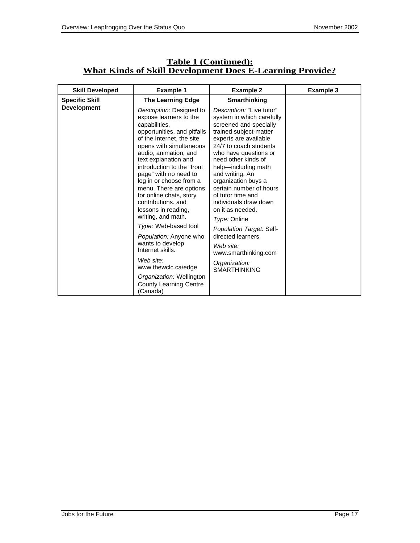| <b>Skill Developed</b> | <b>Example 1</b>                                                                                                                                                                                                                                                                                                                                                                                                                                                                                                                                                                                                              | <b>Example 2</b>                                                                                                                                                                                                                                                                                                                                                                                                                                                                                                   | <b>Example 3</b> |
|------------------------|-------------------------------------------------------------------------------------------------------------------------------------------------------------------------------------------------------------------------------------------------------------------------------------------------------------------------------------------------------------------------------------------------------------------------------------------------------------------------------------------------------------------------------------------------------------------------------------------------------------------------------|--------------------------------------------------------------------------------------------------------------------------------------------------------------------------------------------------------------------------------------------------------------------------------------------------------------------------------------------------------------------------------------------------------------------------------------------------------------------------------------------------------------------|------------------|
| <b>Specific Skill</b>  | <b>The Learning Edge</b>                                                                                                                                                                                                                                                                                                                                                                                                                                                                                                                                                                                                      | <b>Smarthinking</b>                                                                                                                                                                                                                                                                                                                                                                                                                                                                                                |                  |
| <b>Development</b>     | Description: Designed to<br>expose learners to the<br>capabilities,<br>opportunities, and pitfalls<br>of the Internet, the site<br>opens with simultaneous<br>audio, animation, and<br>text explanation and<br>introduction to the "front<br>page" with no need to<br>log in or choose from a<br>menu. There are options<br>for online chats, story<br>contributions, and<br>lessons in reading,<br>writing, and math.<br>Type: Web-based tool<br>Population: Anyone who<br>wants to develop<br>Internet skills.<br>Web site:<br>www.thewclc.ca/edge<br>Organization: Wellington<br><b>County Learning Centre</b><br>(Canada) | Description: "Live tutor"<br>system in which carefully<br>screened and specially<br>trained subject-matter<br>experts are available<br>24/7 to coach students<br>who have questions or<br>need other kinds of<br>help-including math<br>and writing. An<br>organization buys a<br>certain number of hours<br>of tutor time and<br>individuals draw down<br>on it as needed.<br>Type: Online<br>Population Target: Self-<br>directed learners<br>Web site:<br>www.smarthinking.com<br>Organization:<br>SMARTHINKING |                  |

#### **Table 1 (Continued): What Kinds of Skill Development Does E-Learning Provide?**